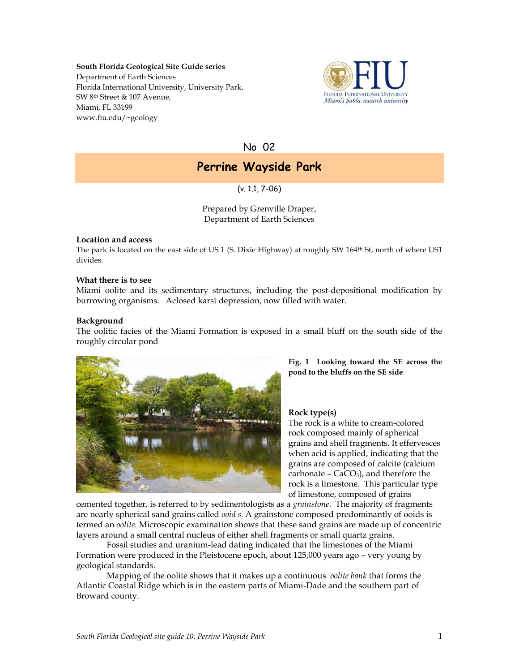#### **South Florida Geological Site Guide series**

Department of Earth Sciences Florida International University, University Park, SW 8th Street & 107 Avenue, Miami, FL 33199 www.fiu.edu/~geology



No 02

# **Perrine Wayside Park**

(v. 1.1, 7-06)

Prepared by Grenville Draper, Department of Earth Sciences

# **Location and access**

The park is located on the east side of US 1 (S. Dixie Highway) at roughly SW 164th St, north of where US1 divides.

# **What there is to see**

Miami oolite and its sedimentary structures, including the post-depositional modification by burrowing organisms. Aclosed karst depression, now filled with water.

# **Background**

The oolitic facies of the Miami Formation is exposed in a small bluff on the south side of the roughly circular pond



**Fig. 1 Looking toward the SE across the pond to the bluffs on the SE side**

#### **Rock type(s)**

The rock is a white to cream-colored rock composed mainly of spherical grains and shell fragments. It effervesces when acid is applied, indicating that the grains are composed of calcite (calcium carbonate  $-$  CaCO<sub>3</sub>), and therefore the rock is a limestone. This particular type of limestone, composed of grains

cemented together, is referred to by sedimentologists as a *grainstone*. The majority of fragments are nearly spherical sand grains called *ooid s*. A grainstone composed predominantly of ooids is termed an *oolite*. Microscopic examination shows that these sand grains are made up of concentric layers around a small central nucleus of either shell fragments or small quartz grains.

Fossil studies and uranium-lead dating indicated that the limestones of the Miami Formation were produced in the Pleistocene epoch, about 125,000 years ago – very young by geological standards.

Mapping of the oolite shows that it makes up a continuous *oolite bank* that forms the Atlantic Coastal Ridge which is in the eastern parts of Miami-Dade and the southern part of Broward county.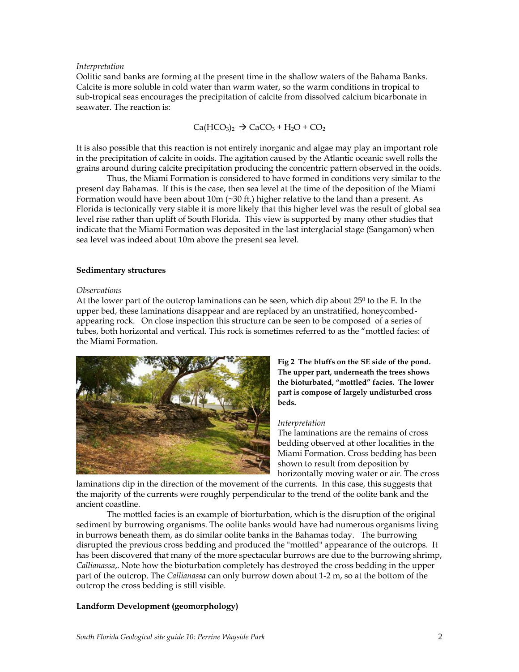## *Interpretation*

Oolitic sand banks are forming at the present time in the shallow waters of the Bahama Banks. Calcite is more soluble in cold water than warm water, so the warm conditions in tropical to sub-tropical seas encourages the precipitation of calcite from dissolved calcium bicarbonate in seawater. The reaction is:

 $Ca(HCO<sub>3</sub>)<sub>2</sub>$   $\rightarrow$   $CaCO<sub>3</sub> + H<sub>2</sub>O + CO<sub>2</sub>$ 

It is also possible that this reaction is not entirely inorganic and algae may play an important role in the precipitation of calcite in ooids. The agitation caused by the Atlantic oceanic swell rolls the grains around during calcite precipitation producing the concentric pattern observed in the ooids.

Thus, the Miami Formation is considered to have formed in conditions very similar to the present day Bahamas. If this is the case, then sea level at the time of the deposition of the Miami Formation would have been about  $10m$  ( $\sim$ 30 ft.) higher relative to the land than a present. As Florida is tectonically very stable it is more likely that this higher level was the result of global sea level rise rather than uplift of South Florida. This view is supported by many other studies that indicate that the Miami Formation was deposited in the last interglacial stage (Sangamon) when sea level was indeed about 10m above the present sea level.

# **Sedimentary structures**

# *Observations*

At the lower part of the outcrop laminations can be seen, which dip about  $25^{\circ}$  to the E. In the upper bed, these laminations disappear and are replaced by an unstratified, honeycombedappearing rock. On close inspection this structure can be seen to be composed of a series of tubes, both horizontal and vertical. This rock is sometimes referred to as the "mottled facies: of the Miami Formation.



**Fig 2 The bluffs on the SE side of the pond. The upper part, underneath the trees shows the bioturbated, "mottled" facies. The lower part is compose of largely undisturbed cross beds.**

#### *Interpretation*

The laminations are the remains of cross bedding observed at other localities in the Miami Formation. Cross bedding has been shown to result from deposition by horizontally moving water or air. The cross

laminations dip in the direction of the movement of the currents. In this case, this suggests that the majority of the currents were roughly perpendicular to the trend of the oolite bank and the ancient coastline.

The mottled facies is an example of biorturbation, which is the disruption of the original sediment by burrowing organisms. The oolite banks would have had numerous organisms living in burrows beneath them, as do similar oolite banks in the Bahamas today. The burrowing disrupted the previous cross bedding and produced the "mottled" appearance of the outcrops. It has been discovered that many of the more spectacular burrows are due to the burrowing shrimp, *Callianassa*,. Note how the bioturbation completely has destroyed the cross bedding in the upper part of the outcrop. The *Callianassa* can only burrow down about 1-2 m, so at the bottom of the outcrop the cross bedding is still visible.

# **Landform Development (geomorphology)**